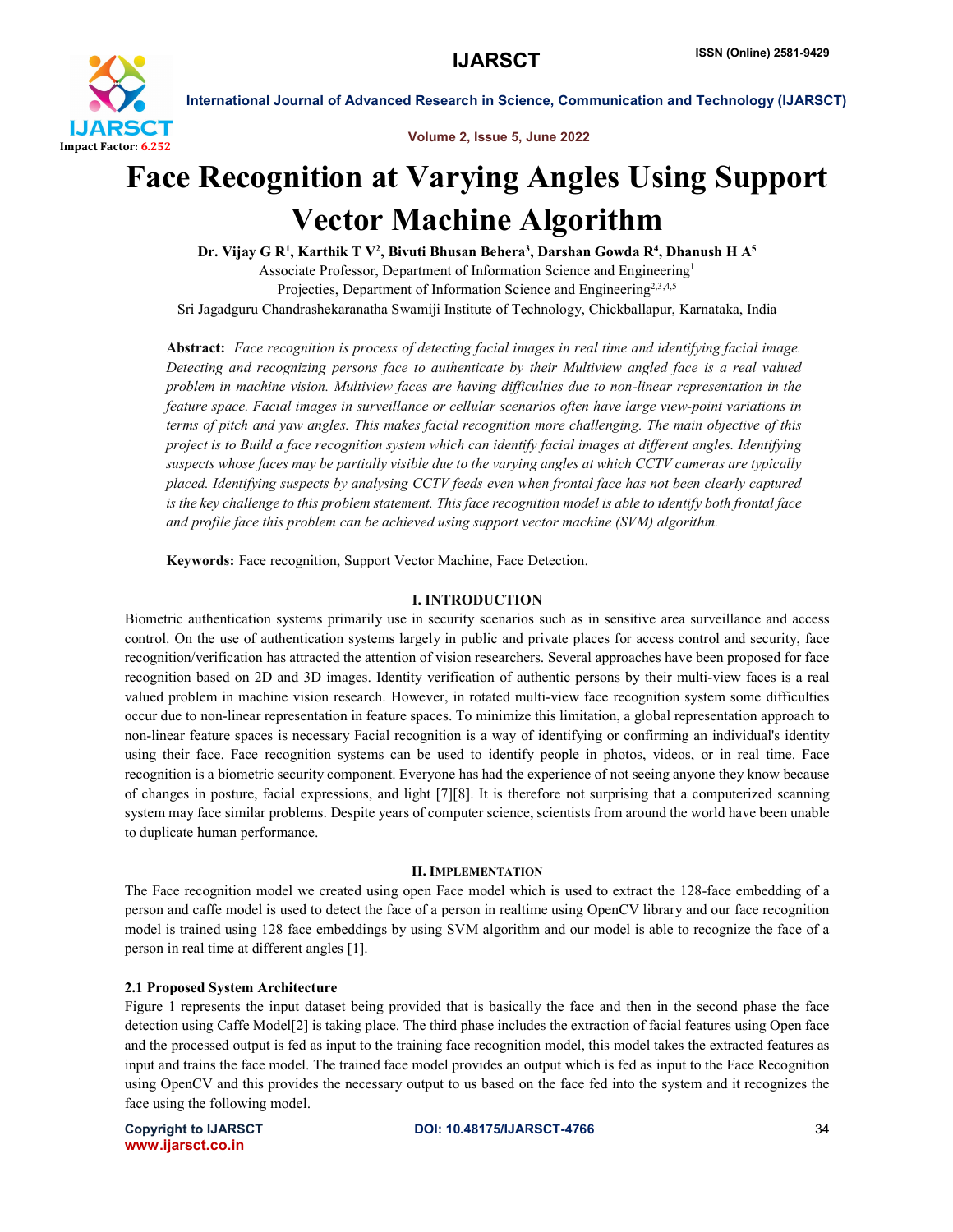

International Journal of Advanced Research in Science, Communication and Technology (IJARSCT)

Volume 2, Issue 5, June 2022

# Face Recognition at Varying Angles Using Support Vector Machine Algorithm

Dr. Vijay G R<sup>1</sup>, Karthik T V<sup>2</sup>, Bivuti Bhusan Behera<sup>3</sup>, Darshan Gowda R<sup>4</sup>, Dhanush H A<sup>5</sup> Associate Professor, Department of Information Science and Engineering1 Projecties, Department of Information Science and Engineering<sup>2,3,4,5</sup> Sri Jagadguru Chandrashekaranatha Swamiji Institute of Technology, Chickballapur, Karnataka, India

Abstract: *Face recognition is process of detecting facial images in real time and identifying facial image. Detecting and recognizing persons face to authenticate by their Multiview angled face is a real valued problem in machine vision. Multiview faces are having difficulties due to non-linear representation in the feature space. Facial images in surveillance or cellular scenarios often have large view-point variations in terms of pitch and yaw angles. This makes facial recognition more challenging. The main objective of this project is to Build a face recognition system which can identify facial images at different angles. Identifying suspects whose faces may be partially visible due to the varying angles at which CCTV cameras are typically placed. Identifying suspects by analysing CCTV feeds even when frontal face has not been clearly captured is the key challenge to this problem statement. This face recognition model is able to identify both frontal face and profile face this problem can be achieved using support vector machine (SVM) algorithm.*

Keywords: Face recognition, Support Vector Machine, Face Detection.

#### I. INTRODUCTION

Biometric authentication systems primarily use in security scenarios such as in sensitive area surveillance and access control. On the use of authentication systems largely in public and private places for access control and security, face recognition/verification has attracted the attention of vision researchers. Several approaches have been proposed for face recognition based on 2D and 3D images. Identity verification of authentic persons by their multi-view faces is a real valued problem in machine vision research. However, in rotated multi-view face recognition system some difficulties occur due to non-linear representation in feature spaces. To minimize this limitation, a global representation approach to non-linear feature spaces is necessary Facial recognition is a way of identifying or confirming an individual's identity using their face. Face recognition systems can be used to identify people in photos, videos, or in real time. Face recognition is a biometric security component. Everyone has had the experience of not seeing anyone they know because of changes in posture, facial expressions, and light [7][8]. It is therefore not surprising that a computerized scanning system may face similar problems. Despite years of computer science, scientists from around the world have been unable to duplicate human performance.

#### II. IMPLEMENTATION

The Face recognition model we created using open Face model which is used to extract the 128-face embedding of a person and caffe model is used to detect the face of a person in realtime using OpenCV library and our face recognition model is trained using 128 face embeddings by using SVM algorithm and our model is able to recognize the face of a person in real time at different angles [1].

### 2.1 Proposed System Architecture

Figure 1 represents the input dataset being provided that is basically the face and then in the second phase the face detection using Caffe Model[2] is taking place. The third phase includes the extraction of facial features using Open face and the processed output is fed as input to the training face recognition model, this model takes the extracted features as input and trains the face model. The trained face model provides an output which is fed as input to the Face Recognition using OpenCV and this provides the necessary output to us based on the face fed into the system and it recognizes the face using the following model.

www.ijarsct.co.in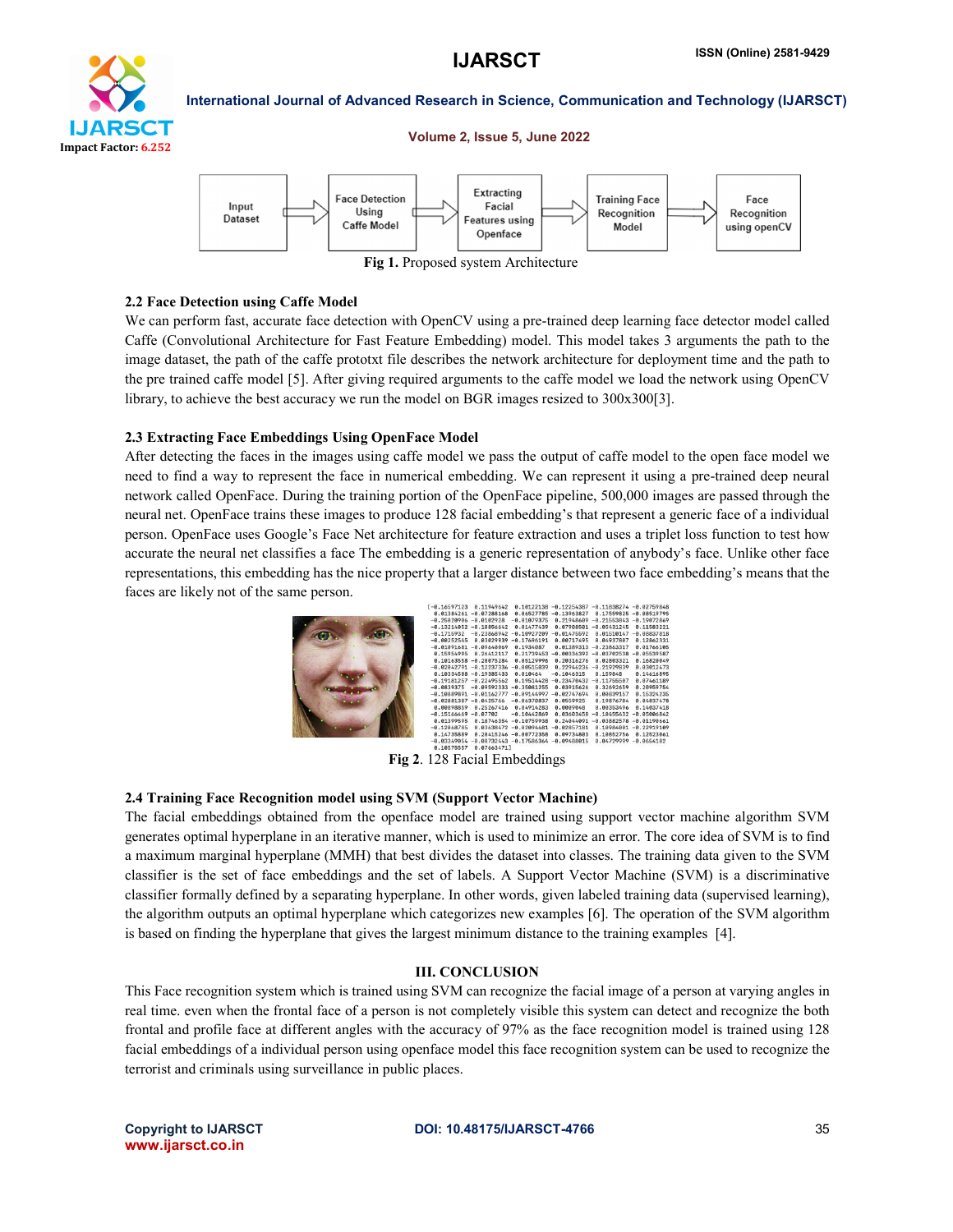

## International Journal of Advanced Research in Science, Communication and Technology (IJARSCT) Volume 2, Issue 5, June 2022



Fig 1. Proposed system Architecture

#### 2.2 Face Detection using Caffe Model

We can perform fast, accurate face detection with OpenCV using a pre-trained deep learning face detector model called Caffe (Convolutional Architecture for Fast Feature Embedding) model. This model takes 3 arguments the path to the image dataset, the path of the caffe prototxt file describes the network architecture for deployment time and the path to the pre trained caffe model [5]. After giving required arguments to the caffe model we load the network using OpenCV library, to achieve the best accuracy we run the model on BGR images resized to 300x300[3].

#### 2.3 Extracting Face Embeddings Using OpenFace Model

After detecting the faces in the images using caffe model we pass the output of caffe model to the open face model we need to find a way to represent the face in numerical embedding. We can represent it using a pre-trained deep neural network called OpenFace. During the training portion of the OpenFace pipeline, 500,000 images are passed through the neural net. OpenFace trains these images to produce 128 facial embedding's that represent a generic face of a individual person. OpenFace uses Google's Face Net architecture for feature extraction and uses a triplet loss function to test how accurate the neural net classifies a face The embedding is a generic representation of anybody's face. Unlike other face representations, this embedding has the nice property that a larger distance between two face embedding's means that the faces are likely not of the same person.

| $-0.16597123$             | 8.11949642                              |                            | $0.10122138 - 0.12254387$ | $-0.11838274 - 0.02759848$ |               |
|---------------------------|-----------------------------------------|----------------------------|---------------------------|----------------------------|---------------|
|                           | $0.01384261 - 0.07288168$               |                            | 0.06527785 -0.13963827    | 0.17559825                 | $-0.08519795$ |
| $-0.25020906 - 0.0102928$ |                                         | $-0.01079375$              | 0.21948609                | $-0.21553843$              | $-0.19072869$ |
| $-0.13214052$             | $-0.10856642$                           | 0.01477439                 | 0.07908501                | $-0.05431245$              | 0.11583221    |
| $-0.1715932$              | $-0.23868942$                           | $-0.10927209$              | $-0.01475592$             | 0.01510147                 | $-0.08837818$ |
| $-0.00252565$             | 0.03029939                              | $-0.17696191$              | 0.00717495                | 0.04937807                 | 0.12862331    |
| $-0.01091681$             | $-0.09640069$                           | 0.1934087                  | 0.01389313                | $-0.23863317$              | 0.01766105    |
| 0.15954995                | 0.26412117                              | 0.21739453                 | $-0.00336392$             | $-0.03702538$              | $-0.05539587$ |
|                           | $0.10163558 - 0.28075284$               | 8.85129996                 | 0.20316276                | 0.02803321                 | 0.16820049    |
|                           | $-0.02042791 - 0.12237336 - 0.00515839$ |                            | 0.22946236                | $-0.21929839$              | 0.03012473    |
|                           | A.18334588 - 8.19385433                 | 8.818464                   | $-0.1046315$              | 0.159848                   | 0.14616895    |
| $-0.19181257$             | $-0.22495562$                           | 8.19514428                 | $-0.23470432$             | $-0.11755507$              | 0.07461189    |
| $-0.0839375$              | $-0.09592333$                           | $-0.35981255$              | 0.03915626                | 0.32692659                 | 0.20959754    |
| $-0.10889891$             | $-0.01162777$                           | $-0.09144997$              | $-0.02747694$             | 0.00839157                 | 0.15324235    |
| $-0.02081387$             | $-0.0425766$                            | $-0.06370837$              | 0.0559925                 | 0.19876704                 | 0.04837478    |
| 0.00898859                | 8.25267416                              | 0.04914283                 | 0.0009048                 | 0.00353496                 | 0.14037418    |
| $-0.15166469$             | $-0.07702$                              | $-0.10442869$              | 0.03603458                | $-0.10455432$              | $-0.05006842$ |
| 0.01399595                |                                         | 0.18746354 -0.10759938     | 0.24044091                | $-0.03882578$              | $-0.01190661$ |
| $-0.12068785$             |                                         | $0.03638472 - 0.02094681$  | $-0.02857181$             | <b>0.10984881</b>          | $-0.22919109$ |
| 0.14735889                |                                         | 0.20415246 -0.00772358     | 0.09734803                | 0.10852756                 | 0.12523061    |
| $-0.03349054$             |                                         | $-0.08732443 - 0.17586364$ | $-0.09488015$             | 8.84729999                 | $-0.0654182$  |
|                           | ---------                               |                            |                           |                            |               |

Fig 2. 128 Facial Embeddings

#### 2.4 Training Face Recognition model using SVM (Support Vector Machine)

The facial embeddings obtained from the openface model are trained using support vector machine algorithm SVM generates optimal hyperplane in an iterative manner, which is used to minimize an error. The core idea of SVM is to find a maximum marginal hyperplane (MMH) that best divides the dataset into classes. The training data given to the SVM classifier is the set of face embeddings and the set of labels. A Support Vector Machine (SVM) is a discriminative classifier formally defined by a separating hyperplane. In other words, given labeled training data (supervised learning), the algorithm outputs an optimal hyperplane which categorizes new examples [6]. The operation of the SVM algorithm is based on finding the hyperplane that gives the largest minimum distance to the training examples [4].

#### III. CONCLUSION

This Face recognition system which is trained using SVM can recognize the facial image of a person at varying angles in real time. even when the frontal face of a person is not completely visible this system can detect and recognize the both frontal and profile face at different angles with the accuracy of 97% as the face recognition model is trained using 128 facial embeddings of a individual person using openface model this face recognition system can be used to recognize the terrorist and criminals using surveillance in public places.